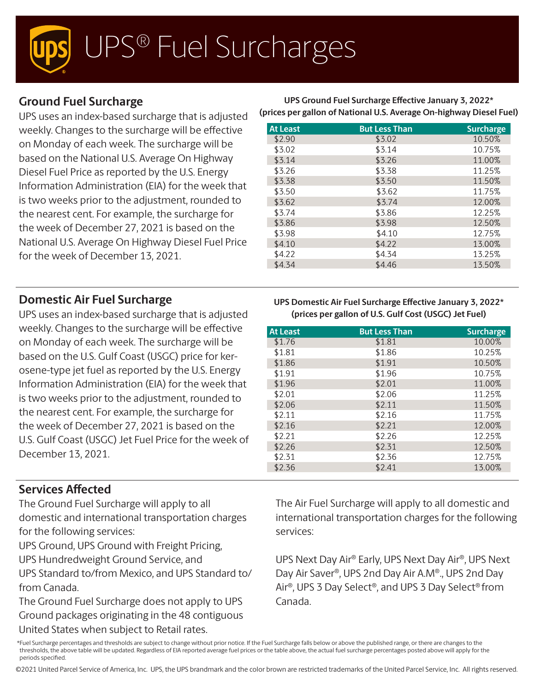# UPS® Fuel Surcharges

## **Ground Fuel Surcharge**

UPS uses an index-based surcharge that is adjusted weekly. Changes to the surcharge will be effective on Monday of each week. The surcharge will be based on the National U.S. Average On Highway Diesel Fuel Price as reported by the U.S. Energy Information Administration (EIA) for the week that is two weeks prior to the adjustment, rounded to the nearest cent. For example, the surcharge for the week of December 27, 2021 is based on the National U.S. Average On Highway Diesel Fuel Price for the week of December 13, 2021.

### **Domestic Air Fuel Surcharge**

UPS uses an index-based surcharge that is adjusted weekly. Changes to the surcharge will be effective on Monday of each week. The surcharge will be based on the U.S. Gulf Coast (USGC) price for kerosene-type jet fuel as reported by the U.S. Energy Information Administration (EIA) for the week that is two weeks prior to the adjustment, rounded to the nearest cent. For example, the surcharge for the week of December 27, 2021 is based on the U.S. Gulf Coast (USGC) Jet Fuel Price for the week of December 13, 2021.

#### **Services Affected**

The Ground Fuel Surcharge will apply to all domestic and international transportation charges for the following services:

UPS Ground, UPS Ground with Freight Pricing,

UPS Hundredweight Ground Service, and

UPS Standard to/from Mexico, and UPS Standard to/ from Canada.

The Ground Fuel Surcharge does not apply to UPS Ground packages originating in the 48 contiguous United States when subject to Retail rates.

**UPS Ground Fuel Surcharge Effective January 3, 2022\* (prices per gallon of National U.S. Average On-highway Diesel Fuel)**

| <b>At Least</b> | <b>But Less Than</b> | <b>Surcharge</b> |
|-----------------|----------------------|------------------|
| \$2.90          | \$3.02               | 10.50%           |
| \$3.02          | \$3.14               | 10.75%           |
| \$3.14          | \$3.26               | 11.00%           |
| \$3.26          | \$3.38               | 11.25%           |
| \$3.38          | \$3.50               | 11.50%           |
| \$3.50          | \$3.62               | 11.75%           |
| \$3.62          | \$3.74               | 12.00%           |
| \$3.74          | \$3.86               | 12.25%           |
| \$3.86          | \$3.98               | 12.50%           |
| \$3.98          | \$4.10               | 12.75%           |
| \$4.10          | \$4.22               | 13.00%           |
| \$4.22          | \$4.34               | 13.25%           |
| \$4.34          | \$4.46               | 13.50%           |

#### **UPS Domestic Air Fuel Surcharge Effective January 3, 2022\* (prices per gallon of U.S. Gulf Cost (USGC) Jet Fuel)**

| <b>At Least</b> | <b>But Less Than</b> | <b>Surcharge</b> |
|-----------------|----------------------|------------------|
| \$1.76          | \$1.81               | 10.00%           |
| \$1.81          | \$1.86               | 10.25%           |
| \$1.86          | \$1.91               | 10.50%           |
| \$1.91          | \$1.96               | 10.75%           |
| \$1.96          | \$2.01               | 11.00%           |
| \$2.01          | \$2.06               | 11.25%           |
| \$2.06          | \$2.11               | 11.50%           |
| \$2.11          | \$2.16               | 11.75%           |
| \$2.16          | \$2.21               | 12.00%           |
| \$2.21          | \$2.26               | 12.25%           |
| \$2.26          | \$2.31               | 12.50%           |
| \$2.31          | \$2.36               | 12.75%           |
| \$2.36          | \$2.41               | 13.00%           |

The Air Fuel Surcharge will apply to all domestic and international transportation charges for the following services:

UPS Next Day Air® Early, UPS Next Day Air®, UPS Next Day Air Saver®, UPS 2nd Day Air A.M®., UPS 2nd Day Air®, UPS 3 Day Select®, and UPS 3 Day Select® from Canada.

\*Fuel Surcharge percentages and thresholds are subject to change without prior notice. If the Fuel Surcharge falls below or above the published range, or there are changes to the thresholds, the above table will be updated. Regardless of EIA reported average fuel prices or the table above, the actual fuel surcharge percentages posted above will apply for the periods specified.

©2021 United Parcel Service of America, Inc. UPS, the UPS brandmark and the color brown are restricted trademarks of the United Parcel Service, Inc. All rights reserved.